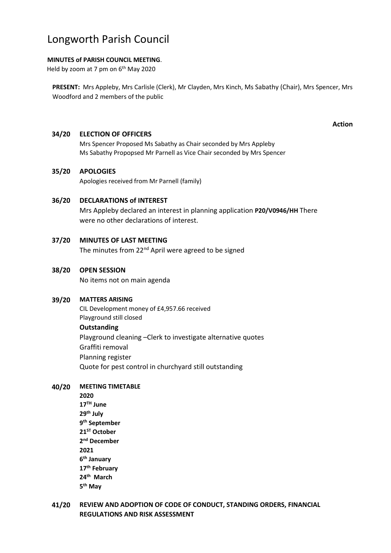# Longworth Parish Council

## **MINUTES of PARISH COUNCIL MEETING**.

Held by zoom at 7 pm on 6<sup>th</sup> May 2020

**PRESENT:** Mrs Appleby, Mrs Carlisle (Clerk), Mr Clayden, Mrs Kinch, Ms Sabathy (Chair), Mrs Spencer, Mrs Woodford and 2 members of the public

#### **Action**

## **34/20 ELECTION OF OFFICERS**

Mrs Spencer Proposed Ms Sabathy as Chair seconded by Mrs Appleby Ms Sabathy Propopsed Mr Parnell as Vice Chair seconded by Mrs Spencer

## **35/20 APOLOGIES**

Apologies received from Mr Parnell (family)

## **36/20 DECLARATIONS of INTEREST**

Mrs Appleby declared an interest in planning application **P20/V0946/HH** There were no other declarations of interest.

## **37/20 MINUTES OF LAST MEETING**

The minutes from 22<sup>nd</sup> April were agreed to be signed

## **38/20 OPEN SESSION**

No items not on main agenda

## **39/20 MATTERS ARISING**

CIL Development money of £4,957.66 received Playground still closed **Outstanding** Playground cleaning –Clerk to investigate alternative quotes Graffiti removal Planning register Quote for pest control in churchyard still outstanding

## **40/20 MEETING TIMETABLE**

**2020 17TH June 29th July 9 th September 21ST October 2 nd December 2021 6 th January 17th February 24th March 5 th May**

**41/20 REVIEW AND ADOPTION OF CODE OF CONDUCT, STANDING ORDERS, FINANCIAL REGULATIONS AND RISK ASSESSMENT**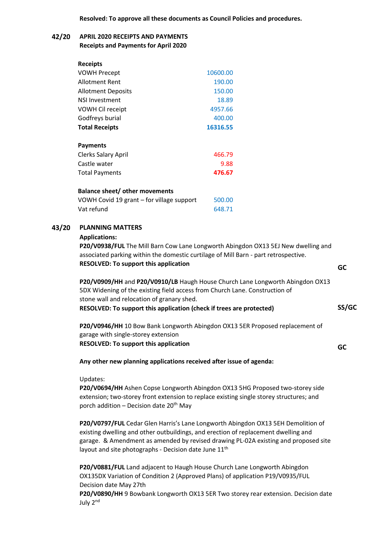**Resolved: To approve all these documents as Council Policies and procedures.**

### **42/20 APRIL 2020 RECEIPTS AND PAYMENTS Receipts and Payments for April 2020**

| <b>Receipts</b>                           |          |
|-------------------------------------------|----------|
| <b>VOWH Precept</b>                       | 10600.00 |
| Allotment Rent                            | 190.00   |
| <b>Allotment Deposits</b>                 | 150.00   |
| <b>NSI Investment</b>                     | 18.89    |
| VOWH Cil receipt                          | 4957.66  |
| Godfreys burial                           | 400.00   |
| <b>Total Receipts</b>                     | 16316.55 |
|                                           |          |
| <b>Payments</b>                           |          |
| Clerks Salary April                       | 466.79   |
| Castle water                              | 9.88     |
| <b>Total Payments</b>                     | 476.67   |
|                                           |          |
| <b>Balance sheet/ other movements</b>     |          |
| VOWH Covid 19 grant - for village support | 500.00   |

Vat refund 648.71

## **43/20 PLANNING MATTERS**

#### **Applications:**

**P20/V0938/FUL** The Mill Barn Cow Lane Longworth Abingdon OX13 5EJ New dwelling and associated parking within the domestic curtilage of Mill Barn - part retrospective. **RESOLVED: To support this application**

**P20/V0909/HH** and **P20/V0910/LB** Haugh House Church Lane Longworth Abingdon OX13 5DX Widening of the existing field access from Church Lane. Construction of stone wall and relocation of granary shed. **RESOLVED: To support this application (check if trees are protected)**

**P20/V0946/HH** 10 Bow Bank Longworth Abingdon OX13 5ER Proposed replacement of garage with single-storey extension **RESOLVED: To support this application**

**Any other new planning applications received after issue of agenda:**

Updates:

**P20/V0694/HH** Ashen Copse Longworth Abingdon OX13 5HG Proposed two-storey side extension; two-storey front extension to replace existing single storey structures; and porch addition  $-$  Decision date 20<sup>th</sup> May

**P20/V0797/FUL** Cedar Glen Harris's Lane Longworth Abingdon OX13 5EH Demolition of existing dwelling and other outbuildings, and erection of replacement dwelling and garage. & Amendment as amended by revised drawing PL-02A existing and proposed site layout and site photographs - Decision date June 11<sup>th</sup>

**P20/V0881/FUL** Land adjacent to Haugh House Church Lane Longworth Abingdon OX135DX Variation of Condition 2 (Approved Plans) of application P19/V0935/FUL Decision date May 27th

**P20/V0890/HH** 9 Bowbank Longworth OX13 5ER Two storey rear extension. Decision date July 2nd

 **GC**

**SS/GC**

**GC**